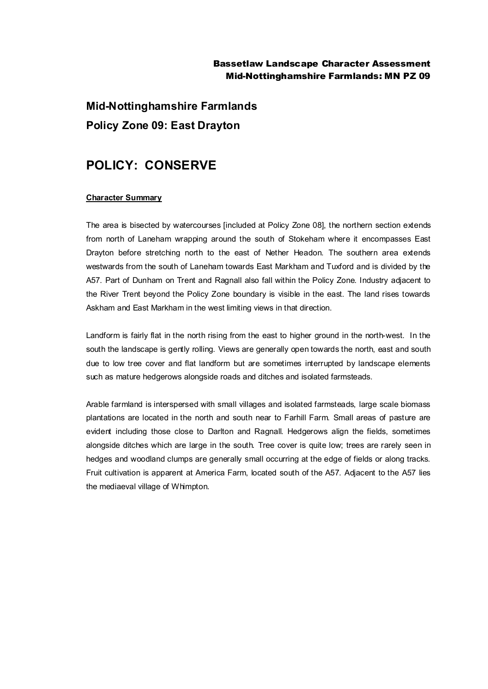## Bassetlaw Landscape Character Assessment Mid-Nottinghamshire Farmlands: MN PZ 09

**Mid-Nottinghamshire Farmlands Policy Zone 09: East Drayton**

## **POLICY: CONSERVE**

## **Character Summary**

The area is bisected by watercourses [included at Policy Zone 08], the northern section extends from north of Laneham wrapping around the south of Stokeham where it encompasses East Drayton before stretching north to the east of Nether Headon. The southern area extends westwards from the south of Laneham towards East Markham and Tuxford and is divided by the A57. Part of Dunham on Trent and Ragnall also fall within the Policy Zone. Industry adjacent to the River Trent beyond the Policy Zone boundary is visible in the east. The land rises towards Askham and East Markham in the west limiting views in that direction.

Landform is fairly flat in the north rising from the east to higher ground in the north-west. In the south the landscape is gently rolling. Views are generally open towards the north, east and south due to low tree cover and flat landform but are sometimes interrupted by landscape elements such as mature hedgerows alongside roads and ditches and isolated farmsteads.

Arable farmland is interspersed with small villages and isolated farmsteads, large scale biomass plantations are located in the north and south near to Farhill Farm. Small areas of pasture are evident including those close to Darlton and Ragnall. Hedgerows align the fields, sometimes alongside ditches which are large in the south. Tree cover is quite low; trees are rarely seen in hedges and woodland clumps are generally small occurring at the edge of fields or along tracks. Fruit cultivation is apparent at America Farm, located south of the A57. Adjacent to the A57 lies the mediaeval village of Whimpton.